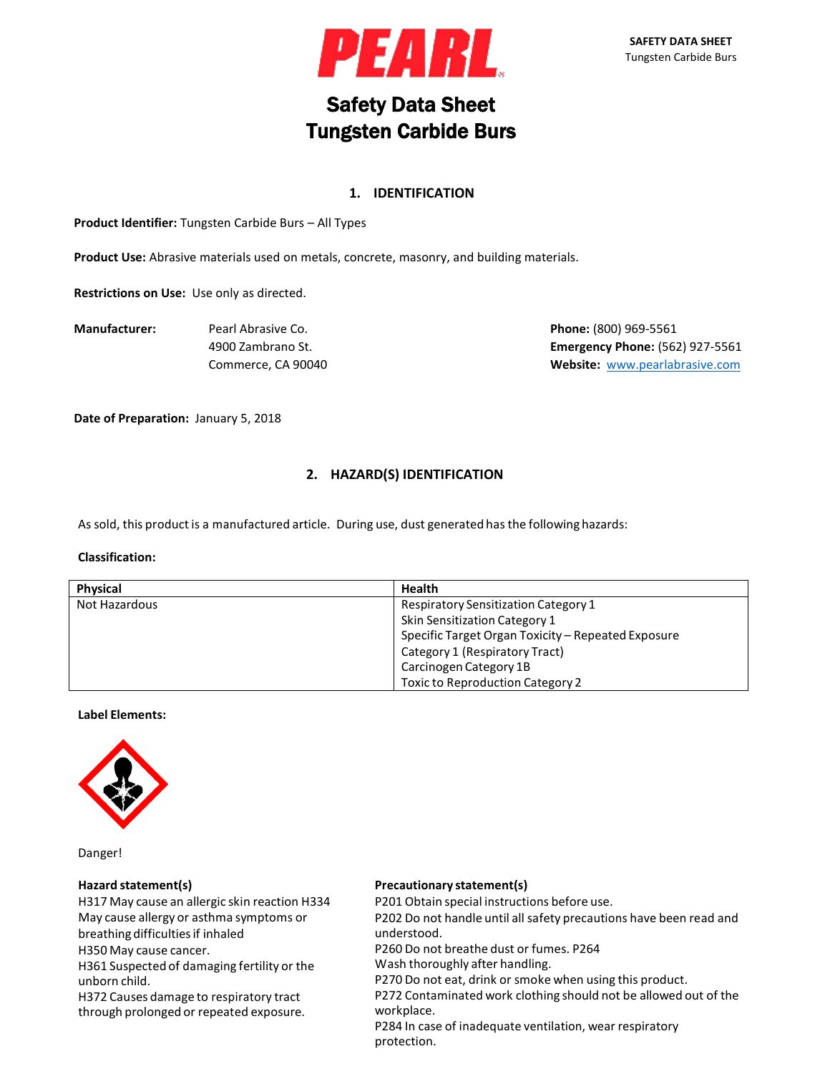

# Safety Data Sheet Tungsten Carbide Burs

# **1. IDENTIFICATION**

**Product Identifier:** Tungsten Carbide Burs – All Types

**Product Use:** Abrasive materials used on metals, concrete, masonry, and building materials.

**Restrictions on Use:** Use only as directed.

**Manufacturer:** Pearl Abrasive Co. **Phone:** (800) 969-5561

4900 Zambrano St. **Emergency Phone:** (562) 927-5561 Commerce, CA 90040 **Website:** [www.pearlabrasive.com](http://www.pearlabrasive.com/)

**Date of Preparation:** January 5, 2018

# **2. HAZARD(S) IDENTIFICATION**

As sold, this product is a manufactured article. During use, dust generated has the following hazards:

#### **Classification:**

| Physical                                                     | <b>Health</b>                                      |
|--------------------------------------------------------------|----------------------------------------------------|
| Not Hazardous<br><b>Respiratory Sensitization Category 1</b> |                                                    |
|                                                              | Skin Sensitization Category 1                      |
|                                                              | Specific Target Organ Toxicity - Repeated Exposure |
|                                                              | Category 1 (Respiratory Tract)                     |
|                                                              | Carcinogen Category 1B                             |
|                                                              | <b>Toxic to Reproduction Category 2</b>            |

#### **Label Elements:**



Danger!

#### **Hazard statement(s)**

H317 May cause an allergic skin reaction H334 May cause allergy or asthma symptoms or breathing difficulties if inhaled H350 May cause cancer. H361 Suspected of damaging fertility or the unborn child. H372 Causes damage to respiratory tract through prolonged or repeated exposure.

#### **Precautionary statement(s)**

P201 Obtain special instructions before use.

P202 Do not handle until all safety precautions have been read and understood.

P260 Do not breathe dust or fumes. P264

Wash thoroughly after handling.

P270 Do not eat, drink or smoke when using this product.

P272 Contaminated work clothing should not be allowed out of the workplace.

P284 In case of inadequate ventilation, wear respiratory protection.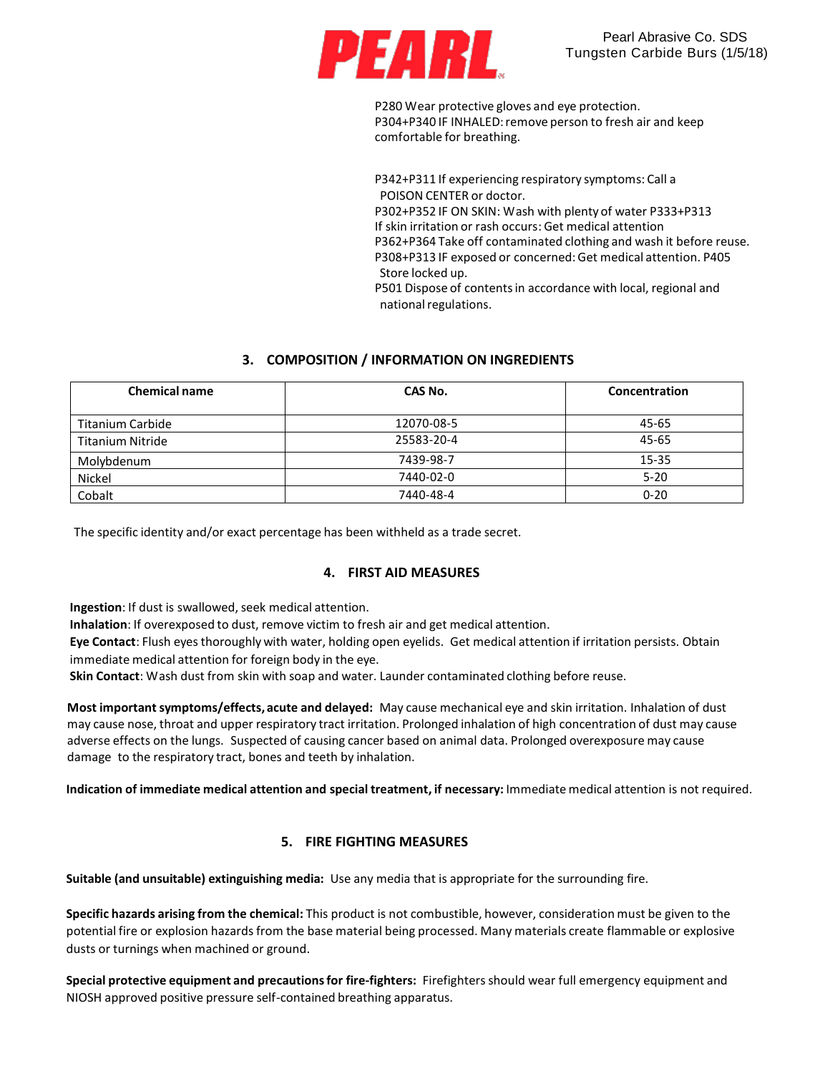

P280 Wear protective gloves and eye protection. P304+P340 IF INHALED: remove person to fresh air and keep comfortable for breathing.

P342+P311 If experiencing respiratory symptoms: Call a POISON CENTER or doctor. P302+P352 IF ON SKIN: Wash with plenty of water P333+P313 If skin irritation or rash occurs: Get medical attention P362+P364 Take off contaminated clothing and wash it before reuse. P308+P313 IF exposed or concerned:Get medical attention. P405 Store locked up. P501 Dispose of contentsin accordance with local, regional and national regulations.

# **3. COMPOSITION / INFORMATION ON INGREDIENTS**

| <b>Chemical name</b>    | CAS No.    | Concentration |
|-------------------------|------------|---------------|
| <b>Titanium Carbide</b> | 12070-08-5 | 45-65         |
| <b>Titanium Nitride</b> | 25583-20-4 | $45 - 65$     |
| Molybdenum              | 7439-98-7  | 15-35         |
| Nickel                  | 7440-02-0  | $5 - 20$      |
| Cobalt                  | 7440-48-4  | $0 - 20$      |

The specific identity and/or exact percentage has been withheld as a trade secret.

#### **4. FIRST AID MEASURES**

**Ingestion**: If dust is swallowed, seek medical attention.

**Inhalation**: If overexposed to dust, remove victim to fresh air and get medical attention.

**Eye Contact**: Flush eyes thoroughly with water, holding open eyelids. Get medical attention if irritation persists. Obtain immediate medical attention for foreign body in the eye.

**Skin Contact**: Wash dust from skin with soap and water. Launder contaminated clothing before reuse.

**Most importantsymptoms/effects, acute and delayed:** May cause mechanical eye and skin irritation. Inhalation of dust may cause nose, throat and upper respiratory tract irritation. Prolonged inhalation of high concentration of dust may cause adverse effects on the lungs. Suspected of causing cancer based on animal data. Prolonged overexposure may cause damage to the respiratory tract, bones and teeth by inhalation.

**Indication of immediate medical attention and special treatment, if necessary:** Immediate medical attention is not required.

# **5. FIRE FIGHTING MEASURES**

**Suitable (and unsuitable) extinguishing media:** Use any media that is appropriate for the surrounding fire.

**Specific hazards arising from the chemical:** This product is not combustible, however, consideration must be given to the potential fire or explosion hazards from the base material being processed. Many materials create flammable or explosive dusts or turnings when machined or ground.

**Special protective equipment and precautionsfor fire-fighters:** Firefightersshould wear full emergency equipment and NIOSH approved positive pressure self-contained breathing apparatus.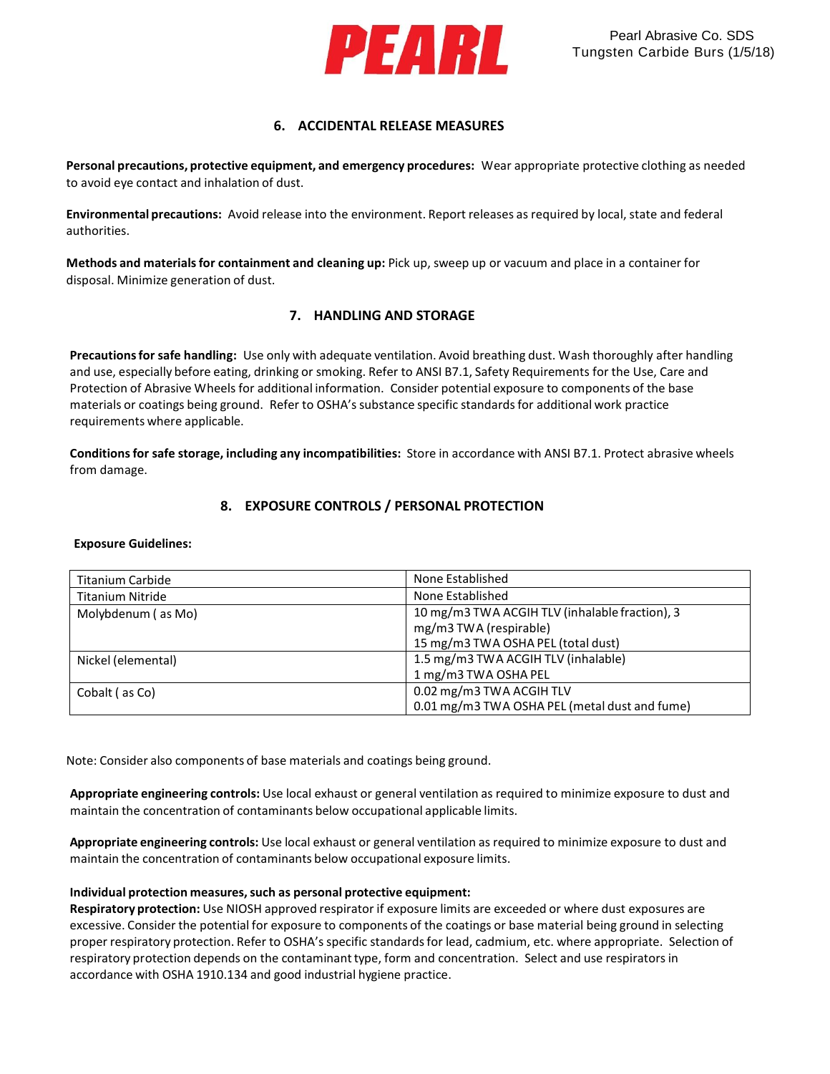

# **6. ACCIDENTAL RELEASE MEASURES**

**Personal precautions, protective equipment, and emergency procedures:** Wear appropriate protective clothing as needed to avoid eye contact and inhalation of dust.

**Environmental precautions:** Avoid release into the environment. Report releases as required by local, state and federal authorities.

**Methods and materialsfor containment and cleaning up:** Pick up, sweep up or vacuum and place in a container for disposal. Minimize generation of dust.

# **7. HANDLING AND STORAGE**

**Precautionsfor safe handling:** Use only with adequate ventilation. Avoid breathing dust. Wash thoroughly after handling and use, especially before eating, drinking or smoking. Refer to ANSI B7.1, Safety Requirements for the Use, Care and Protection of Abrasive Wheels for additional information. Consider potential exposure to components of the base materials or coatings being ground. Refer to OSHA's substance specific standards for additional work practice requirements where applicable.

**Conditionsfor safe storage, including any incompatibilities:** Store in accordance with ANSI B7.1. Protect abrasive wheels from damage.

# **8. EXPOSURE CONTROLS / PERSONAL PROTECTION**

#### **Exposure Guidelines:**

| Titanium Carbide        | None Established                               |
|-------------------------|------------------------------------------------|
| <b>Titanium Nitride</b> | None Established                               |
| Molybdenum (as Mo)      | 10 mg/m3 TWA ACGIH TLV (inhalable fraction), 3 |
|                         | mg/m3 TWA (respirable)                         |
|                         | 15 mg/m3 TWA OSHA PEL (total dust)             |
| Nickel (elemental)      | 1.5 mg/m3 TWA ACGIH TLV (inhalable)            |
|                         | 1 mg/m3 TWA OSHA PEL                           |
| Cobalt (as Co)          | 0.02 mg/m3 TWA ACGIH TLV                       |
|                         | 0.01 mg/m3 TWA OSHA PEL (metal dust and fume)  |

Note: Consider also components of base materials and coatings being ground.

**Appropriate engineering controls:** Use local exhaust or general ventilation as required to minimize exposure to dust and maintain the concentration of contaminants below occupational applicable limits.

**Appropriate engineering controls:** Use local exhaust or general ventilation as required to minimize exposure to dust and maintain the concentration of contaminants below occupational exposure limits.

#### **Individual protection measures,such as personal protective equipment:**

**Respiratory protection:** Use NIOSH approved respirator if exposure limits are exceeded or where dust exposures are excessive. Consider the potential for exposure to components of the coatings or base material being ground in selecting proper respiratory protection. Refer to OSHA's specific standardsfor lead, cadmium, etc. where appropriate. Selection of respiratory protection depends on the contaminanttype, form and concentration. Select and use respiratorsin accordance with OSHA 1910.134 and good industrial hygiene practice.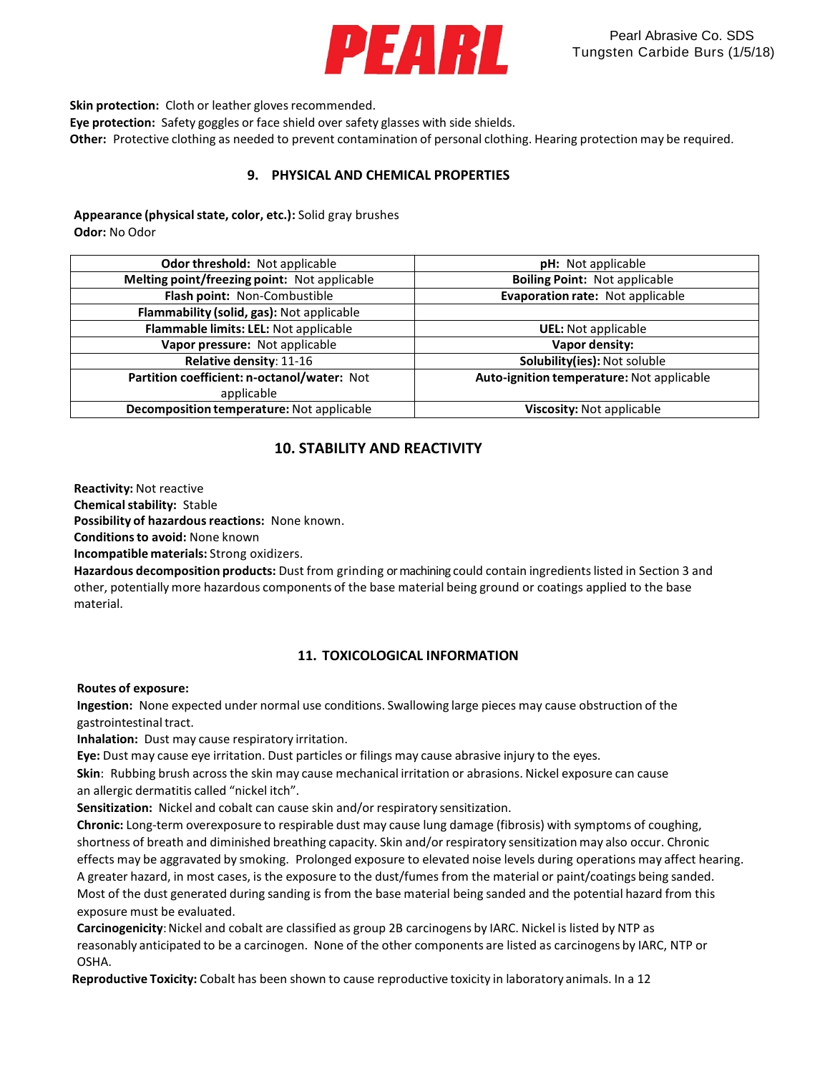

**Skin protection:** Cloth or leather gloves recommended.

**Eye protection:** Safety goggles or face shield over safety glasses with side shields.

**Other:** Protective clothing as needed to prevent contamination of personal clothing. Hearing protection may be required.

# **9. PHYSICAL AND CHEMICAL PROPERTIES**

# **Appearance (physicalstate, color, etc.):** Solid gray brushes

**Odor:** No Odor

| <b>Odor threshold: Not applicable</b>        | <b>pH:</b> Not applicable                 |
|----------------------------------------------|-------------------------------------------|
| Melting point/freezing point: Not applicable | <b>Boiling Point: Not applicable</b>      |
| Flash point: Non-Combustible                 | Evaporation rate: Not applicable          |
| Flammability (solid, gas): Not applicable    |                                           |
| Flammable limits: LEL: Not applicable        | <b>UEL:</b> Not applicable                |
| Vapor pressure: Not applicable               | Vapor density:                            |
| Relative density: 11-16                      | Solubility(ies): Not soluble              |
| Partition coefficient: n-octanol/water: Not  | Auto-ignition temperature: Not applicable |
| applicable                                   |                                           |
| Decomposition temperature: Not applicable    | Viscosity: Not applicable                 |
|                                              |                                           |

# **10. STABILITY AND REACTIVITY**

**Reactivity:** Not reactive

**Chemical stability: Stable** 

Possibility of hazardous reactions: None known.

**Conditionsto avoid:** None known

**Incompatible materials:** Strong oxidizers.

**Hazardous decomposition products:** Dust from grinding or machining could contain ingredientslisted in Section 3 and other, potentially more hazardous components of the base material being ground or coatings applied to the base material.

# **11. TOXICOLOGICAL INFORMATION**

#### **Routes of exposure:**

**Ingestion:** None expected under normal use conditions. Swallowing large pieces may cause obstruction of the gastrointestinal tract.

**Inhalation:** Dust may cause respiratory irritation.

**Eye:** Dust may cause eye irritation. Dust particles or filings may cause abrasive injury to the eyes.

**Skin**: Rubbing brush across the skin may cause mechanical irritation or abrasions. Nickel exposure can cause an allergic dermatitis called "nickel itch".

**Sensitization:** Nickel and cobalt can cause skin and/or respiratory sensitization.

**Chronic:** Long-term overexposure to respirable dust may cause lung damage (fibrosis) with symptoms of coughing, shortness of breath and diminished breathing capacity. Skin and/or respiratory sensitization may also occur. Chronic effects may be aggravated by smoking. Prolonged exposure to elevated noise levels during operations may affect hearing. A greater hazard, in most cases, is the exposure to the dust/fumes from the material or paint/coatings being sanded. Most of the dust generated during sanding is from the base material being sanded and the potential hazard from this exposure must be evaluated.

**Carcinogenicity**:Nickel and cobalt are classified as group 2B carcinogens by IARC. Nickel is listed by NTP as reasonably anticipated to be a carcinogen. None of the other components are listed as carcinogens by IARC, NTP or OSHA.

**Reproductive Toxicity:** Cobalt has been shown to cause reproductive toxicity in laboratory animals. In a 12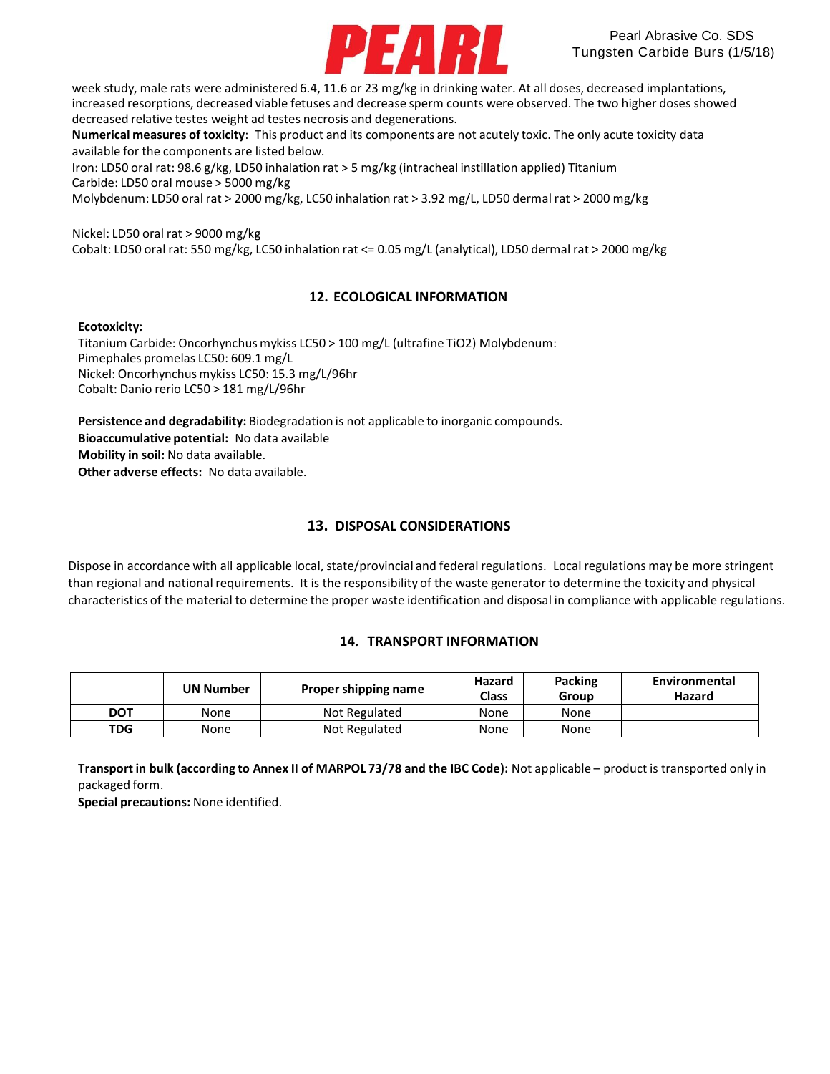

week study, male rats were administered 6.4, 11.6 or 23 mg/kg in drinking water. At all doses, decreased implantations, increased resorptions, decreased viable fetuses and decrease sperm counts were observed. The two higher doses showed decreased relative testes weight ad testes necrosis and degenerations.

**Numerical measures of toxicity**: This product and its components are not acutely toxic. The only acute toxicity data available for the components are listed below.

Iron: LD50 oral rat: 98.6 g/kg, LD50 inhalation rat > 5 mg/kg (intracheal instillation applied) Titanium Carbide: LD50 oral mouse > 5000 mg/kg

Molybdenum: LD50 oral rat > 2000 mg/kg, LC50 inhalation rat > 3.92 mg/L, LD50 dermal rat > 2000 mg/kg

Nickel: LD50 oral rat > 9000 mg/kg

Cobalt: LD50 oral rat: 550 mg/kg, LC50 inhalation rat <= 0.05 mg/L (analytical), LD50 dermal rat > 2000 mg/kg

# **12. ECOLOGICAL INFORMATION**

#### **Ecotoxicity:**

Titanium Carbide: Oncorhynchus mykiss LC50 > 100 mg/L (ultrafine TiO2) Molybdenum: Pimephales promelas LC50: 609.1 mg/L Nickel: Oncorhynchus mykiss LC50: 15.3 mg/L/96hr Cobalt: Danio rerio LC50 > 181 mg/L/96hr

**Persistence and degradability:** Biodegradation is not applicable to inorganic compounds. **Bioaccumulative potential:** No data available **Mobility in soil:** No data available. **Other adverse effects:** No data available.

# **13. DISPOSAL CONSIDERATIONS**

Dispose in accordance with all applicable local, state/provincial and federal regulations. Local regulations may be more stringent than regional and national requirements. It is the responsibility of the waste generator to determine the toxicity and physical characteristics of the material to determine the proper waste identification and disposal in compliance with applicable regulations.

# **14. TRANSPORT INFORMATION**

|            | UN Number | Proper shipping name | Hazard<br><b>Class</b> | Packing<br>Group | Environmental<br>Hazard |
|------------|-----------|----------------------|------------------------|------------------|-------------------------|
| <b>DOT</b> | None      | Not Regulated        | None                   | None             |                         |
| <b>TDG</b> | None      | Not Regulated        | None                   | None             |                         |

**Transport in bulk (according to Annex II of MARPOL 73/78 and the IBC Code):** Not applicable – product is transported only in packaged form.

**Special precautions:** None identified.